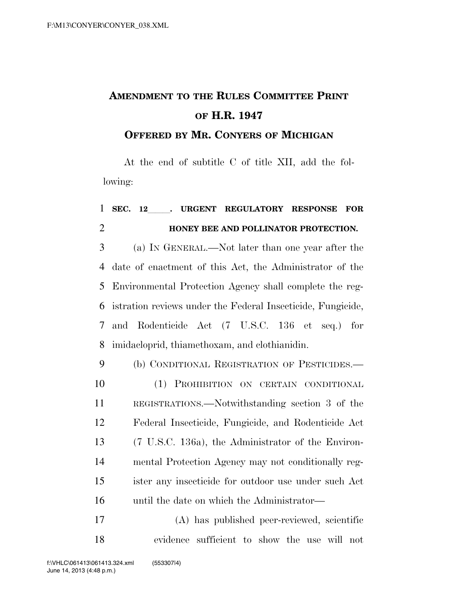## **AMENDMENT TO THE RULES COMMITTEE PRINT OF H.R. 1947**

## **OFFERED BY MR. CONYERS OF MICHIGAN**

At the end of subtitle C of title XII, add the following:

## **SEC. 12**lll**. URGENT REGULATORY RESPONSE FOR HONEY BEE AND POLLINATOR PROTECTION.**

 (a) IN GENERAL.—Not later than one year after the date of enactment of this Act, the Administrator of the Environmental Protection Agency shall complete the reg- istration reviews under the Federal Insecticide, Fungicide, and Rodenticide Act (7 U.S.C. 136 et seq.) for imidacloprid, thiamethoxam, and clothianidin.

 (b) CONDITIONAL REGISTRATION OF PESTICIDES.— (1) PROHIBITION ON CERTAIN CONDITIONAL REGISTRATIONS.—Notwithstanding section 3 of the Federal Insecticide, Fungicide, and Rodenticide Act (7 U.S.C. 136a), the Administrator of the Environ- mental Protection Agency may not conditionally reg- ister any insecticide for outdoor use under such Act until the date on which the Administrator—

 (A) has published peer-reviewed, scientific evidence sufficient to show the use will not